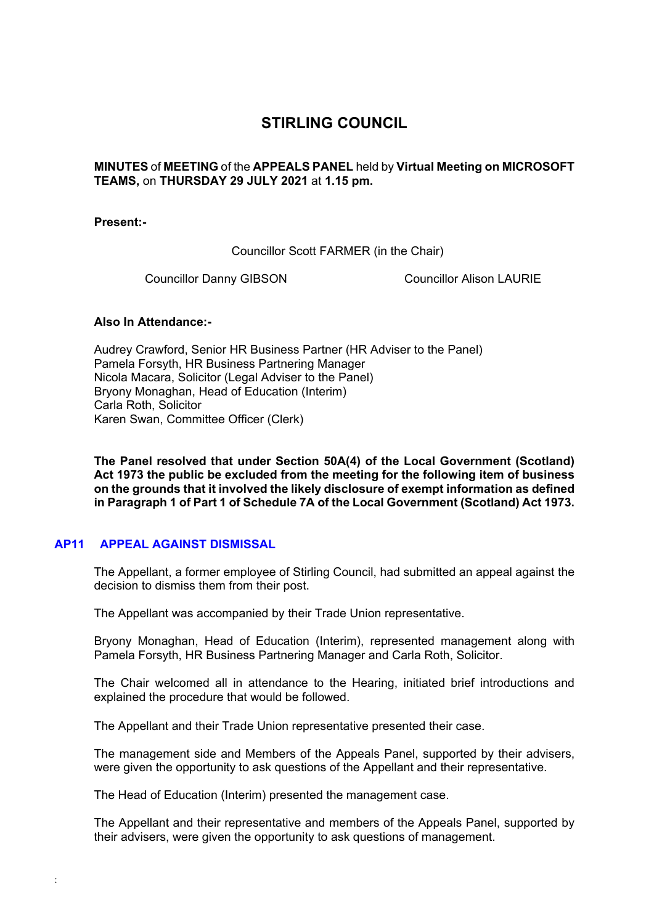## **STIRLING COUNCIL**

**MINUTES** of **MEETING** of the **APPEALS PANEL** held by **Virtual Meeting on MICROSOFT TEAMS,** on **THURSDAY 29 JULY 2021** at **1.15 pm.**

**Present:-** 

Councillor Scott FARMER (in the Chair)

Councillor Danny GIBSON Councillor Alison LAURIE

## **Also In Attendance:-**

Audrey Crawford, Senior HR Business Partner (HR Adviser to the Panel) Pamela Forsyth, HR Business Partnering Manager Nicola Macara, Solicitor (Legal Adviser to the Panel) Bryony Monaghan, Head of Education (Interim) Carla Roth, Solicitor Karen Swan, Committee Officer (Clerk)

**The Panel resolved that under Section 50A(4) of the Local Government (Scotland) Act 1973 the public be excluded from the meeting for the following item of business on the grounds that it involved the likely disclosure of exempt information as defined in Paragraph 1 of Part 1 of Schedule 7A of the Local Government (Scotland) Act 1973.** 

## **[AP11 APPEAL AGAINST DISMISSAL](/forms/request.htm)**

:

The Appellant, a former employee of Stirling Council, had submitted an appeal against the decision to dismiss them from their post.

The Appellant was accompanied by their Trade Union representative.

Bryony Monaghan, Head of Education (Interim), represented management along with Pamela Forsyth, HR Business Partnering Manager and Carla Roth, Solicitor.

The Chair welcomed all in attendance to the Hearing, initiated brief introductions and explained the procedure that would be followed.

The Appellant and their Trade Union representative presented their case.

The management side and Members of the Appeals Panel, supported by their advisers, were given the opportunity to ask questions of the Appellant and their representative.

The Head of Education (Interim) presented the management case.

The Appellant and their representative and members of the Appeals Panel, supported by their advisers, were given the opportunity to ask questions of management.